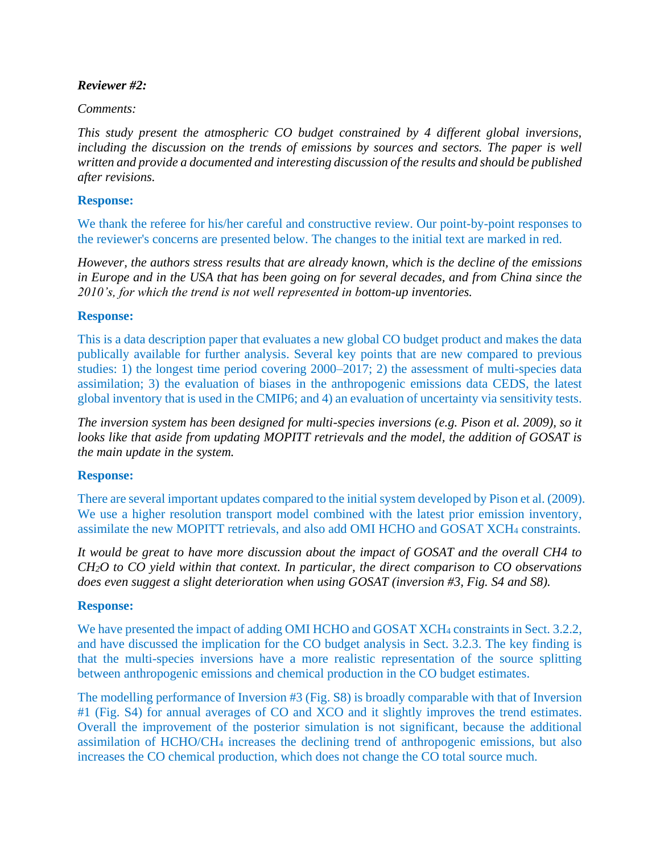## *Reviewer #2:*

## *Comments:*

*This study present the atmospheric CO budget constrained by 4 different global inversions, including the discussion on the trends of emissions by sources and sectors. The paper is well written and provide a documented and interesting discussion of the results and should be published after revisions.*

## **Response:**

We thank the referee for his/her careful and constructive review. Our point-by-point responses to the reviewer's concerns are presented below. The changes to the initial text are marked in red.

*However, the authors stress results that are already known, which is the decline of the emissions in Europe and in the USA that has been going on for several decades, and from China since the 2010's, for which the trend is not well represented in bottom-up inventories.* 

### **Response:**

This is a data description paper that evaluates a new global CO budget product and makes the data publically available for further analysis. Several key points that are new compared to previous studies: 1) the longest time period covering 2000–2017; 2) the assessment of multi-species data assimilation; 3) the evaluation of biases in the anthropogenic emissions data CEDS, the latest global inventory that is used in the CMIP6; and 4) an evaluation of uncertainty via sensitivity tests.

*The inversion system has been designed for multi-species inversions (e.g. Pison et al. 2009), so it looks like that aside from updating MOPITT retrievals and the model, the addition of GOSAT is the main update in the system.*

### **Response:**

There are several important updates compared to the initial system developed by Pison et al. (2009). We use a higher resolution transport model combined with the latest prior emission inventory, assimilate the new MOPITT retrievals, and also add OMI HCHO and GOSAT XCH<sup>4</sup> constraints.

*It would be great to have more discussion about the impact of GOSAT and the overall CH4 to CH2O to CO yield within that context. In particular, the direct comparison to CO observations does even suggest a slight deterioration when using GOSAT (inversion #3, Fig. S4 and S8).*

### **Response:**

We have presented the impact of adding OMI HCHO and GOSAT XCH4 constraints in Sect. 3.2.2, and have discussed the implication for the CO budget analysis in Sect. 3.2.3. The key finding is that the multi-species inversions have a more realistic representation of the source splitting between anthropogenic emissions and chemical production in the CO budget estimates.

The modelling performance of Inversion #3 (Fig. S8) is broadly comparable with that of Inversion #1 (Fig. S4) for annual averages of CO and XCO and it slightly improves the trend estimates. Overall the improvement of the posterior simulation is not significant, because the additional assimilation of HCHO/CH<sup>4</sup> increases the declining trend of anthropogenic emissions, but also increases the CO chemical production, which does not change the CO total source much.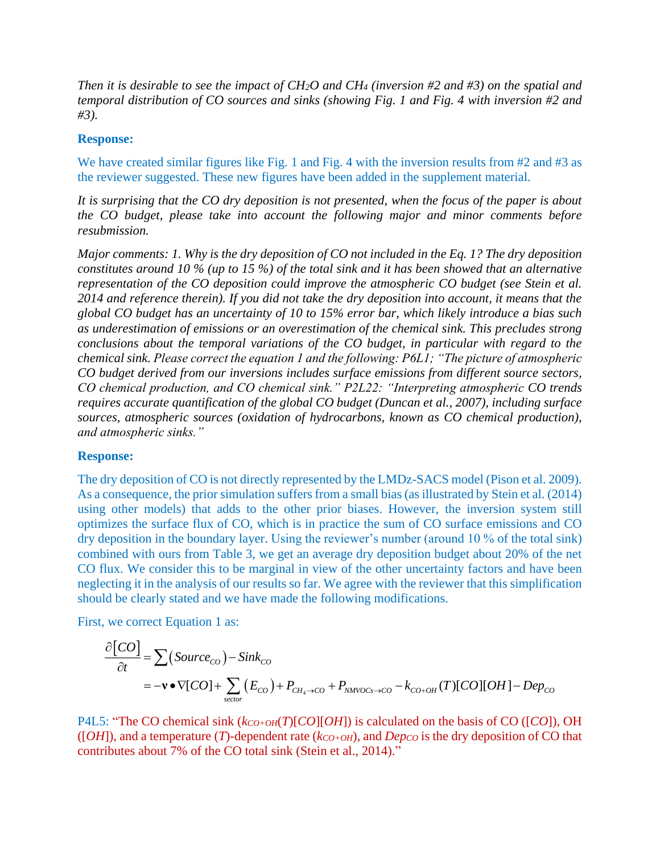*Then it is desirable to see the impact of CH2O and CH<sup>4</sup> (inversion #2 and #3) on the spatial and temporal distribution of CO sources and sinks (showing Fig. 1 and Fig. 4 with inversion #2 and #3).* 

#### **Response:**

We have created similar figures like Fig. 1 and Fig. 4 with the inversion results from #2 and #3 as the reviewer suggested. These new figures have been added in the supplement material.

*It is surprising that the CO dry deposition is not presented, when the focus of the paper is about the CO budget, please take into account the following major and minor comments before resubmission.*

*Major comments: 1. Why is the dry deposition of CO not included in the Eq. 1? The dry deposition constitutes around 10 % (up to 15 %) of the total sink and it has been showed that an alternative representation of the CO deposition could improve the atmospheric CO budget (see Stein et al. 2014 and reference therein). If you did not take the dry deposition into account, it means that the global CO budget has an uncertainty of 10 to 15% error bar, which likely introduce a bias such as underestimation of emissions or an overestimation of the chemical sink. This precludes strong conclusions about the temporal variations of the CO budget, in particular with regard to the chemical sink. Please correct the equation 1 and the following: P6L1; "The picture of atmospheric CO budget derived from our inversions includes surface emissions from different source sectors, CO chemical production, and CO chemical sink." P2L22: "Interpreting atmospheric CO trends requires accurate quantification of the global CO budget (Duncan et al., 2007), including surface sources, atmospheric sources (oxidation of hydrocarbons, known as CO chemical production), and atmospheric sinks."*

### **Response:**

The dry deposition of CO is not directly represented by the LMDz-SACS model (Pison et al. 2009). As a consequence, the prior simulation suffers from a small bias (as illustrated by Stein et al. (2014) using other models) that adds to the other prior biases. However, the inversion system still optimizes the surface flux of CO, which is in practice the sum of CO surface emissions and CO dry deposition in the boundary layer. Using the reviewer's number (around 10 % of the total sink) combined with ours from Table 3, we get an average dry deposition budget about 20% of the net CO flux. We consider this to be marginal in view of the other uncertainty factors and have been neglecting it in the analysis of our results so far. We agree with the reviewer that this simplification should be clearly stated and we have made the following modifications.

First, we correct Equation 1 as:

$$
\frac{\partial [CO]}{\partial t} = \sum (Source_{CO}) - Sink_{CO}
$$
  
= -**v**  $\nabla [CO] + \sum_{sector} (E_{CO}) + P_{CH_4 \to CO} + P_{NMVOCs \to CO} - k_{CO+OH}(T)[CO][OH] - Dep_{CO}$ 

P4L5: "The CO chemical sink (*kCO+OH*(*T*)[*CO*][*OH*]) is calculated on the basis of CO ([*CO*]), OH ([*OH*]), and a temperature (*T*)-dependent rate (*kCO+OH*), and *DepCO* is the dry deposition of CO that contributes about 7% of the CO total sink (Stein et al., 2014)."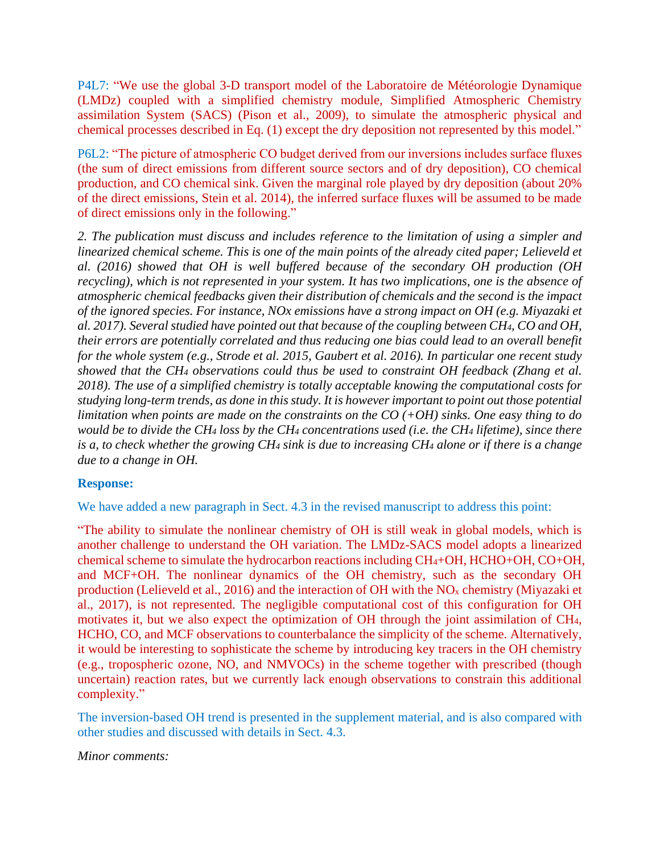P4L7: "We use the global 3-D transport model of the Laboratoire de Météorologie Dynamique (LMDz) coupled with a simplified chemistry module, Simplified Atmospheric Chemistry assimilation System (SACS) (Pison et al., 2009), to simulate the atmospheric physical and chemical processes described in Eq. (1) except the dry deposition not represented by this model."

P6L2: "The picture of atmospheric CO budget derived from our inversions includes surface fluxes (the sum of direct emissions from different source sectors and of dry deposition), CO chemical production, and CO chemical sink. Given the marginal role played by dry deposition (about 20% of the direct emissions, Stein et al. 2014), the inferred surface fluxes will be assumed to be made of direct emissions only in the following."

*2. The publication must discuss and includes reference to the limitation of using a simpler and linearized chemical scheme. This is one of the main points of the already cited paper; Lelieveld et al. (2016) showed that OH is well buffered because of the secondary OH production (OH recycling), which is not represented in your system. It has two implications, one is the absence of atmospheric chemical feedbacks given their distribution of chemicals and the second is the impact of the ignored species. For instance, NOx emissions have a strong impact on OH (e.g. Miyazaki et al. 2017). Several studied have pointed out that because of the coupling between CH4, CO and OH, their errors are potentially correlated and thus reducing one bias could lead to an overall benefit for the whole system (e.g., Strode et al. 2015, Gaubert et al. 2016). In particular one recent study showed that the CH<sup>4</sup> observations could thus be used to constraint OH feedback (Zhang et al. 2018). The use of a simplified chemistry is totally acceptable knowing the computational costs for studying long-term trends, as done in this study. It is however important to point out those potential limitation when points are made on the constraints on the CO (+OH) sinks. One easy thing to do would be to divide the CH<sup>4</sup> loss by the CH<sup>4</sup> concentrations used (i.e. the CH<sup>4</sup> lifetime), since there is a, to check whether the growing CH<sup>4</sup> sink is due to increasing CH<sup>4</sup> alone or if there is a change due to a change in OH.*

### **Response:**

We have added a new paragraph in Sect. 4.3 in the revised manuscript to address this point:

"The ability to simulate the nonlinear chemistry of OH is still weak in global models, which is another challenge to understand the OH variation. The LMDz-SACS model adopts a linearized chemical scheme to simulate the hydrocarbon reactions including CH4+OH, HCHO+OH, CO+OH, and MCF+OH. The nonlinear dynamics of the OH chemistry, such as the secondary OH production (Lelieveld et al., 2016) and the interaction of OH with the NO<sup>x</sup> chemistry (Miyazaki et al., 2017), is not represented. The negligible computational cost of this configuration for OH motivates it, but we also expect the optimization of OH through the joint assimilation of CH4, HCHO, CO, and MCF observations to counterbalance the simplicity of the scheme. Alternatively, it would be interesting to sophisticate the scheme by introducing key tracers in the OH chemistry (e.g., tropospheric ozone, NO, and NMVOCs) in the scheme together with prescribed (though uncertain) reaction rates, but we currently lack enough observations to constrain this additional complexity."

The inversion-based OH trend is presented in the supplement material, and is also compared with other studies and discussed with details in Sect. 4.3.

*Minor comments:*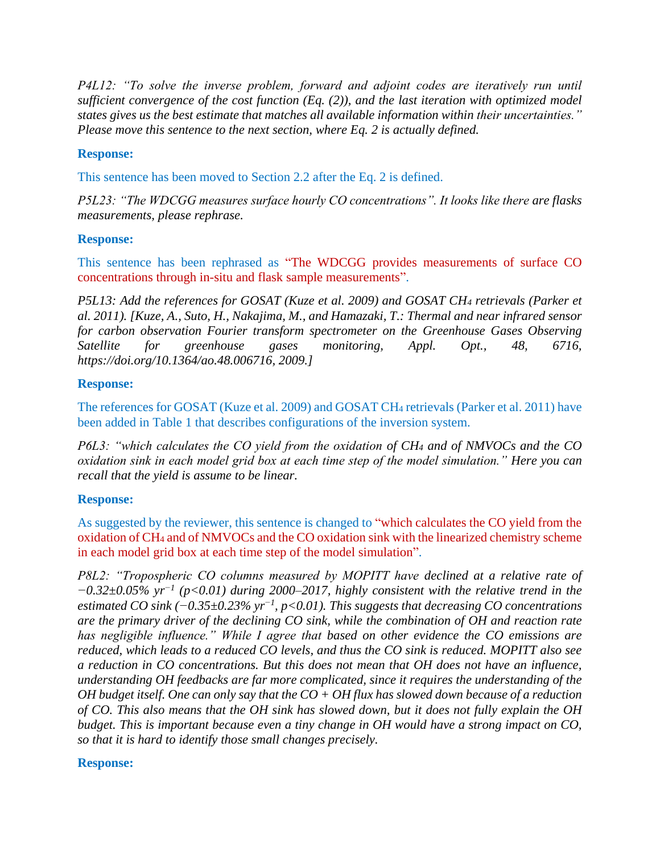*P4L12: "To solve the inverse problem, forward and adjoint codes are iteratively run until sufficient convergence of the cost function (Eq. (2)), and the last iteration with optimized model states gives us the best estimate that matches all available information within their uncertainties." Please move this sentence to the next section, where Eq. 2 is actually defined.*

## **Response:**

This sentence has been moved to Section 2.2 after the Eq. 2 is defined.

*P5L23: "The WDCGG measures surface hourly CO concentrations". It looks like there are flasks measurements, please rephrase.*

### **Response:**

This sentence has been rephrased as "The WDCGG provides measurements of surface CO concentrations through in-situ and flask sample measurements".

*P5L13: Add the references for GOSAT (Kuze et al. 2009) and GOSAT CH<sup>4</sup> retrievals (Parker et al. 2011). [Kuze, A., Suto, H., Nakajima, M., and Hamazaki, T.: Thermal and near infrared sensor for carbon observation Fourier transform spectrometer on the Greenhouse Gases Observing Satellite for greenhouse gases monitoring, Appl. Opt., 48, 6716, https://doi.org/10.1364/ao.48.006716, 2009.]*

## **Response:**

The references for GOSAT (Kuze et al. 2009) and GOSAT CH<sup>4</sup> retrievals (Parker et al. 2011) have been added in Table 1 that describes configurations of the inversion system.

*P6L3: "which calculates the CO yield from the oxidation of CH<sup>4</sup> and of NMVOCs and the CO oxidation sink in each model grid box at each time step of the model simulation." Here you can recall that the yield is assume to be linear.*

### **Response:**

As suggested by the reviewer, this sentence is changed to "which calculates the CO yield from the oxidation of CH<sup>4</sup> and of NMVOCs and the CO oxidation sink with the linearized chemistry scheme in each model grid box at each time step of the model simulation".

*P8L2: "Tropospheric CO columns measured by MOPITT have declined at a relative rate of −0.32±0.05% yr−1 (p<0.01) during 2000–2017, highly consistent with the relative trend in the estimated CO sink (−0.35±0.23% yr−1 , p<0.01). This suggests that decreasing CO concentrations are the primary driver of the declining CO sink, while the combination of OH and reaction rate has negligible influence." While I agree that based on other evidence the CO emissions are reduced, which leads to a reduced CO levels, and thus the CO sink is reduced. MOPITT also see a reduction in CO concentrations. But this does not mean that OH does not have an influence, understanding OH feedbacks are far more complicated, since it requires the understanding of the OH budget itself. One can only say that the CO + OH flux has slowed down because of a reduction of CO. This also means that the OH sink has slowed down, but it does not fully explain the OH budget. This is important because even a tiny change in OH would have a strong impact on CO, so that it is hard to identify those small changes precisely.*

### **Response:**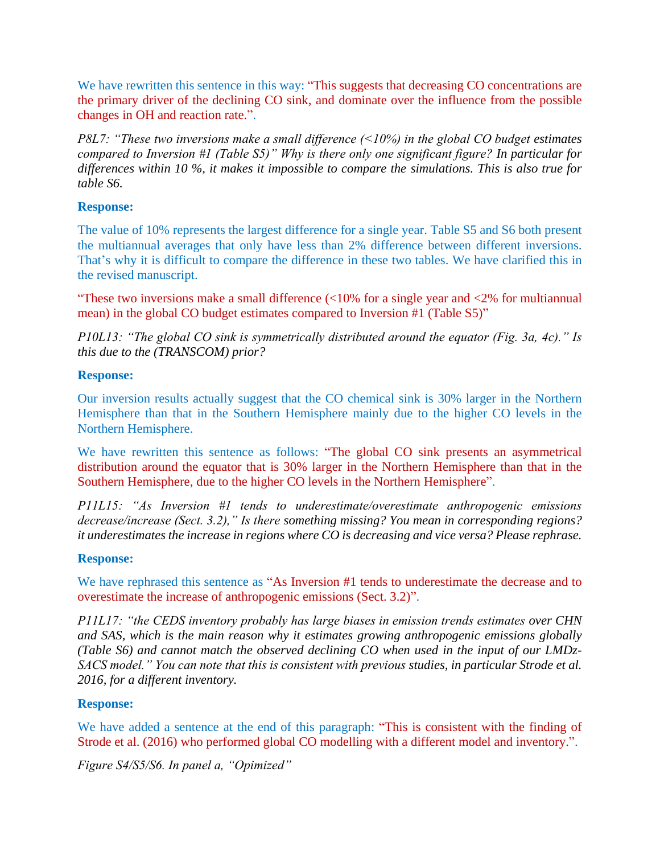We have rewritten this sentence in this way: "This suggests that decreasing CO concentrations are the primary driver of the declining CO sink, and dominate over the influence from the possible changes in OH and reaction rate.".

*P8L7: "These two inversions make a small difference (<10%) in the global CO budget estimates compared to Inversion #1 (Table S5)" Why is there only one significant figure? In particular for differences within 10 %, it makes it impossible to compare the simulations. This is also true for table S6.*

## **Response:**

The value of 10% represents the largest difference for a single year. Table S5 and S6 both present the multiannual averages that only have less than 2% difference between different inversions. That's why it is difficult to compare the difference in these two tables. We have clarified this in the revised manuscript.

"These two inversions make a small difference  $\langle \langle 10\%$  for a single year and  $\langle 2\%$  for multiannual mean) in the global CO budget estimates compared to Inversion #1 (Table S5)"

*P10L13: "The global CO sink is symmetrically distributed around the equator (Fig. 3a, 4c)." Is this due to the (TRANSCOM) prior?*

### **Response:**

Our inversion results actually suggest that the CO chemical sink is 30% larger in the Northern Hemisphere than that in the Southern Hemisphere mainly due to the higher CO levels in the Northern Hemisphere.

We have rewritten this sentence as follows: "The global CO sink presents an asymmetrical distribution around the equator that is 30% larger in the Northern Hemisphere than that in the Southern Hemisphere, due to the higher CO levels in the Northern Hemisphere".

*P11L15: "As Inversion #1 tends to underestimate/overestimate anthropogenic emissions decrease/increase (Sect. 3.2)," Is there something missing? You mean in corresponding regions? it underestimates the increase in regions where CO is decreasing and vice versa? Please rephrase.*

### **Response:**

We have rephrased this sentence as "As Inversion #1 tends to underestimate the decrease and to overestimate the increase of anthropogenic emissions (Sect. 3.2)".

*P11L17: "the CEDS inventory probably has large biases in emission trends estimates over CHN and SAS, which is the main reason why it estimates growing anthropogenic emissions globally (Table S6) and cannot match the observed declining CO when used in the input of our LMDz-SACS model." You can note that this is consistent with previous studies, in particular Strode et al. 2016, for a different inventory.*

# **Response:**

We have added a sentence at the end of this paragraph: "This is consistent with the finding of Strode et al. (2016) who performed global CO modelling with a different model and inventory.".

*Figure S4/S5/S6. In panel a, "Opimized"*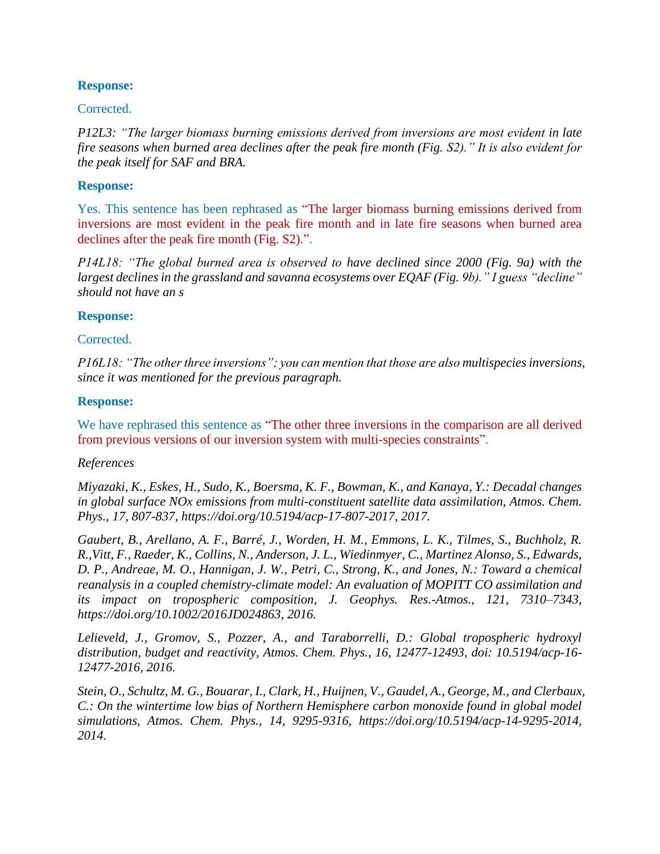### **Response:**

#### Corrected.

*P12L3: "The larger biomass burning emissions derived from inversions are most evident in late fire seasons when burned area declines after the peak fire month (Fig. S2)." It is also evident for the peak itself for SAF and BRA.*

#### **Response:**

Yes. This sentence has been rephrased as "The larger biomass burning emissions derived from inversions are most evident in the peak fire month and in late fire seasons when burned area declines after the peak fire month (Fig. S2).".

*P14L18: "The global burned area is observed to have declined since 2000 (Fig. 9a) with the largest declines in the grassland and savanna ecosystems over EQAF (Fig. 9b)." I guess "decline" should not have an s*

#### **Response:**

#### Corrected.

*P16L18: "The other three inversions"; you can mention that those are also multispecies inversions, since it was mentioned for the previous paragraph.*

#### **Response:**

We have rephrased this sentence as "The other three inversions in the comparison are all derived from previous versions of our inversion system with multi-species constraints".

#### *References*

*Miyazaki, K., Eskes, H., Sudo, K., Boersma, K. F., Bowman, K., and Kanaya, Y.: Decadal changes in global surface NOx emissions from multi-constituent satellite data assimilation, Atmos. Chem. Phys., 17, 807-837, https://doi.org/10.5194/acp-17-807-2017, 2017.*

*Gaubert, B., Arellano, A. F., Barré, J., Worden, H. M., Emmons, L. K., Tilmes, S., Buchholz, R. R.,Vitt, F., Raeder, K., Collins, N., Anderson, J. L., Wiedinmyer, C., Martinez Alonso, S., Edwards, D. P., Andreae, M. O., Hannigan, J. W., Petri, C., Strong, K., and Jones, N.: Toward a chemical reanalysis in a coupled chemistry-climate model: An evaluation of MOPITT CO assimilation and its impact on tropospheric composition, J. Geophys. Res.-Atmos., 121, 7310–7343, [https://doi.org/10.1002/2016JD024863,](https://doi.org/10.1002/2016JD024863) 2016.*

*Lelieveld, J., Gromov, S., Pozzer, A., and Taraborrelli, D.: Global tropospheric hydroxyl distribution, budget and reactivity, Atmos. Chem. Phys., 16, 12477-12493, doi: 10.5194/acp-16- 12477-2016, 2016.*

*Stein, O., Schultz, M. G., Bouarar, I., Clark, H., Huijnen, V., Gaudel, A., George, M., and Clerbaux, C.: On the wintertime low bias of Northern Hemisphere carbon monoxide found in global model simulations, Atmos. Chem. Phys., 14, 9295-9316, https://doi.org/10.5194/acp-14-9295-2014, 2014.*